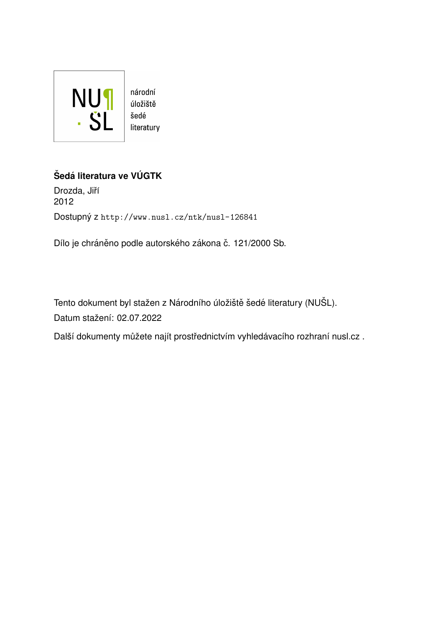

#### $\check{\text{S}}$ edá literatura ve VÚGTK

Drozda, Jiří 2012 Dostupný z <http://www.nusl.cz/ntk/nusl-126841>

Dílo je chráněno podle autorského zákona č. 121/2000 Sb.

Tento dokument byl stažen z Národního úložiště šedé literatury (NUŠL). Datum stažení: 02.07.2022

Další dokumenty můžete najít prostřednictvím vyhledávacího rozhraní [nusl.cz](http://www.nusl.cz) .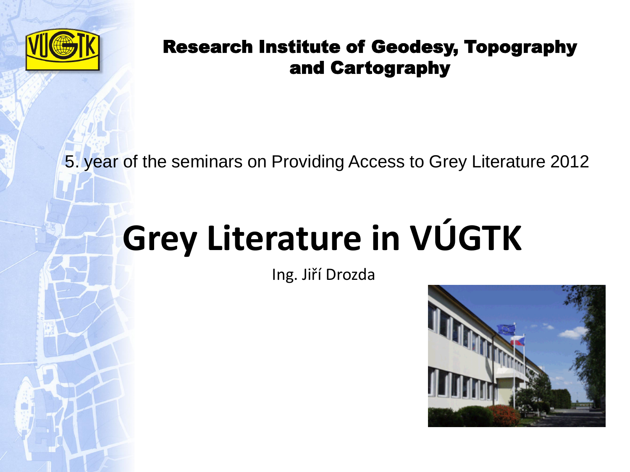

5. year of the seminars on Providing Access to Grey Literature 2012

# **Grey Literature in VÚGTK**

Ing. Jiří Drozda

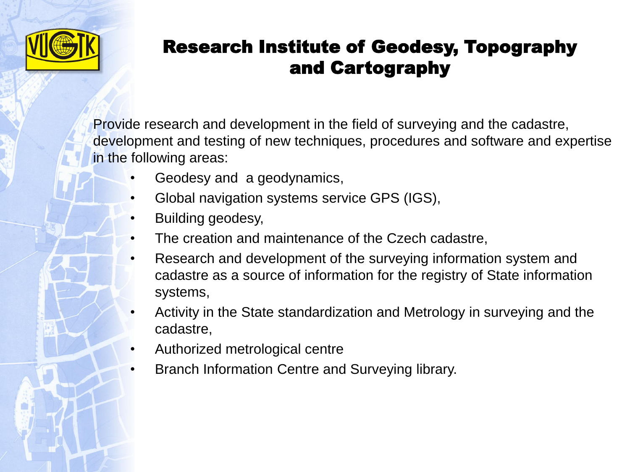

Provide research and development in the field of surveying and the cadastre, development and testing of new techniques, procedures and software and expertise in the following areas:

- Geodesy and a geodynamics,
- Global navigation systems service GPS (IGS),
- Building geodesy,
- The creation and maintenance of the Czech cadastre,
- Research and development of the surveying information system and cadastre as a source of information for the registry of State information systems,
- Activity in the State standardization and Metrology in surveying and the cadastre,
- Authorized metrological centre
- Branch Information Centre and Surveying library.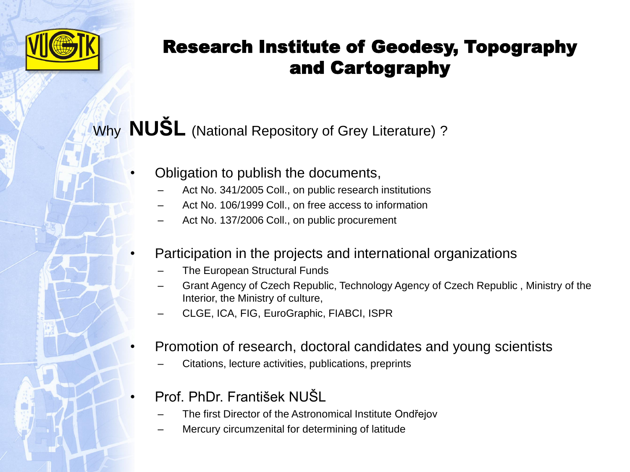

## Why **NUŠL** (National Repository of Grey Literature) ?

- Obligation to publish the documents,
	- Act No. 341/2005 Coll., on public research institutions
	- Act No. 106/1999 Coll., on free access to information
	- Act No. 137/2006 Coll., on public procurement

#### • Participation in the projects and international organizations

- The European Structural Funds
- Grant Agency of Czech Republic, Technology Agency of Czech Republic , Ministry of the Interior, the Ministry of culture,
- CLGE, ICA, FIG, EuroGraphic, FIABCI, ISPR
- Promotion of research, doctoral candidates and young scientists
	- Citations, lecture activities, publications, preprints
- Prof. PhDr. František NUŠL
	- The first Director of the Astronomical Institute Ondřejov
	- Mercury circumzenital for determining of latitude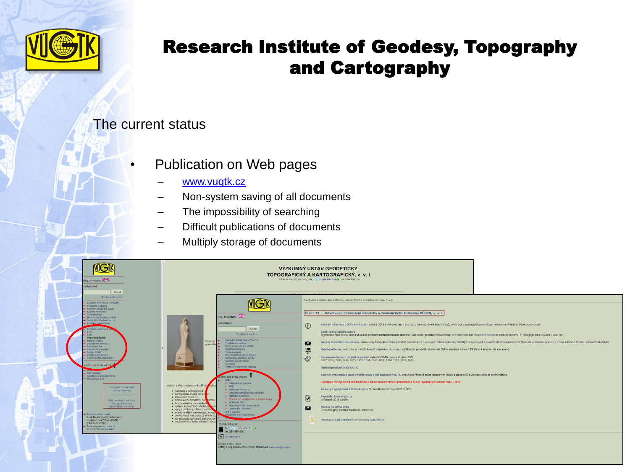

#### The current status

- Publication on Web pages
	- [www.vugtk.cz](http://www.vugtk.cz/)
	- Non-system saving of all documents
	- The impossibility of searching
	- Difficult publications of documents
	- Multiply storage of documents

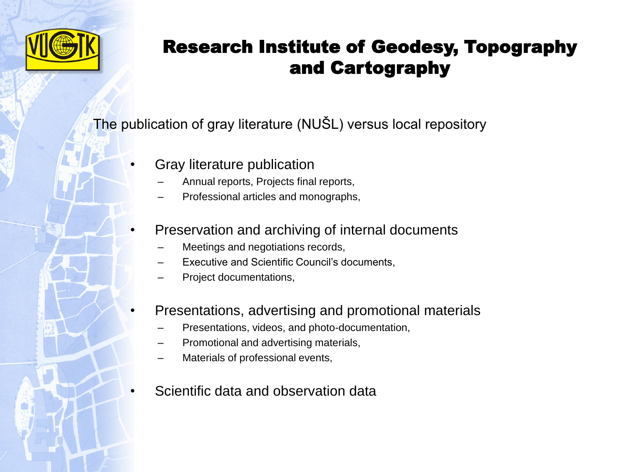

The publication of gray literature (NUŠL) versus local repository

- Gray literature publication
	- Annual reports, Projects final reports,
	- Professional articles and monographs,
- Preservation and archiving of internal documents
	- Meetings and negotiations records,
	- Executive and Scientific Council's documents,
	- Project documentations,
- Presentations, advertising and promotional materials
	- Presentations, videos, and photo-documentation,
	- Promotional and advertising materials,
	- Materials of professional events,
	- Scientific data and observation data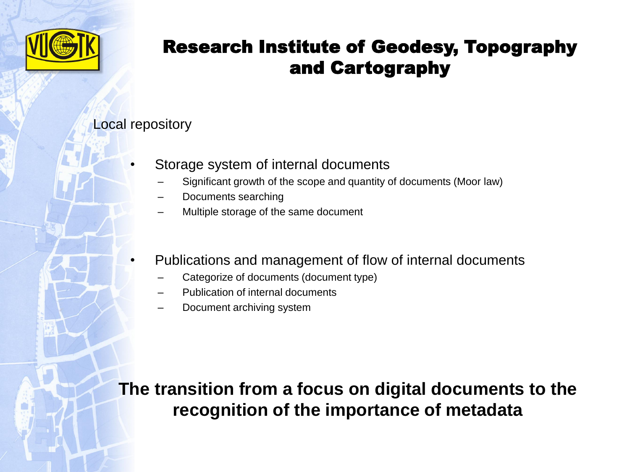

#### Local repository

- Storage system of internal documents
	- Significant growth of the scope and quantity of documents (Moor law)
	- Documents searching
	- Multiple storage of the same document
- Publications and management of flow of internal documents
	- Categorize of documents (document type)
	- Publication of internal documents
	- Document archiving system

**The transition from a focus on digital documents to the recognition of the importance of metadata**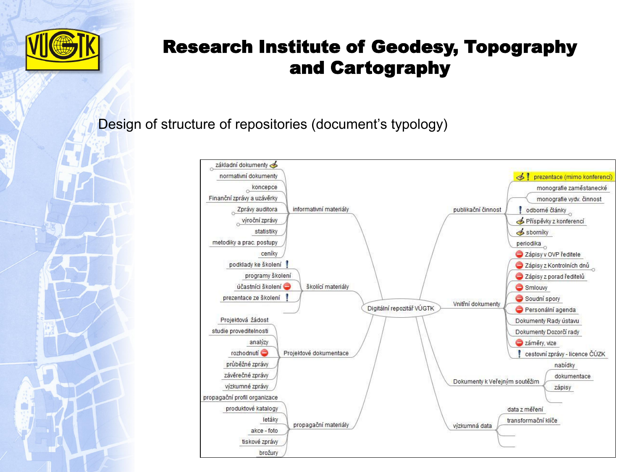

Design of structure of repositories (document's typology)

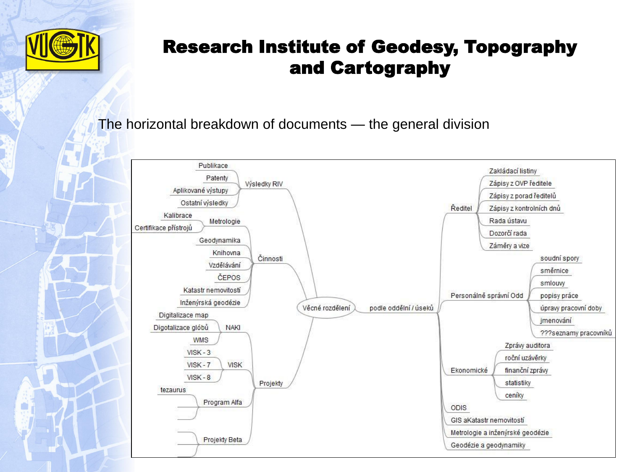

The horizontal breakdown of documents — the general division

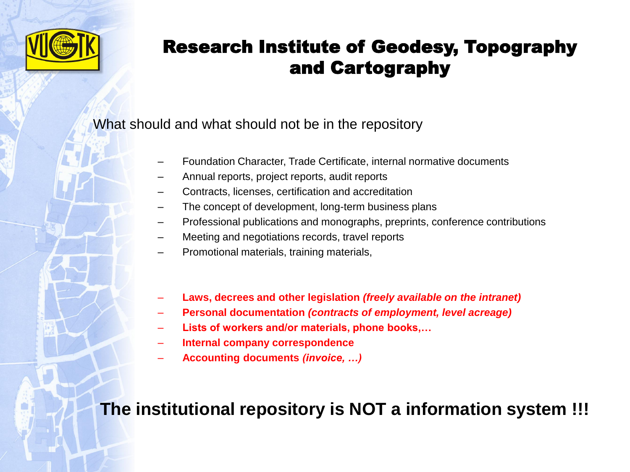

#### What should and what should not be in the repository

- Foundation Character, Trade Certificate, internal normative documents
- Annual reports, project reports, audit reports
- Contracts, licenses, certification and accreditation
- The concept of development, long-term business plans
- Professional publications and monographs, preprints, conference contributions
- Meeting and negotiations records, travel reports
- Promotional materials, training materials,
- **Laws, decrees and other legislation** *(freely available on the intranet)*
- **Personal documentation** *(contracts of employment, level acreage)*
- **Lists of workers and/or materials, phone books,…**
- **Internal company correspondence**
- **Accounting documents** *(invoice, …)*

## **The institutional repository is NOT a information system !!!**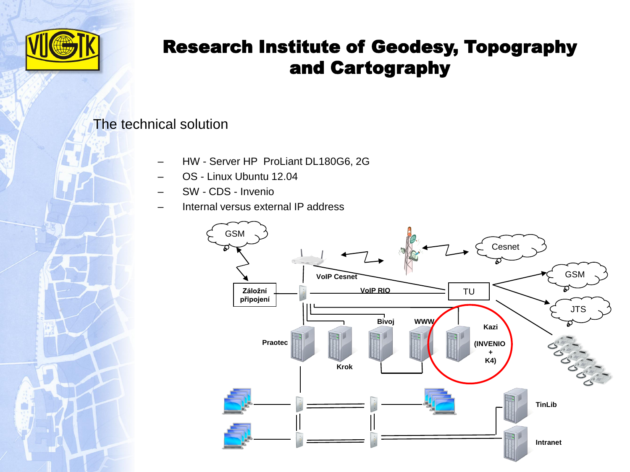

#### The technical solution

- HW Server HP ProLiant DL180G6, 2G
- OS Linux Ubuntu 12.04
- SW CDS Invenio
- Internal versus external IP address

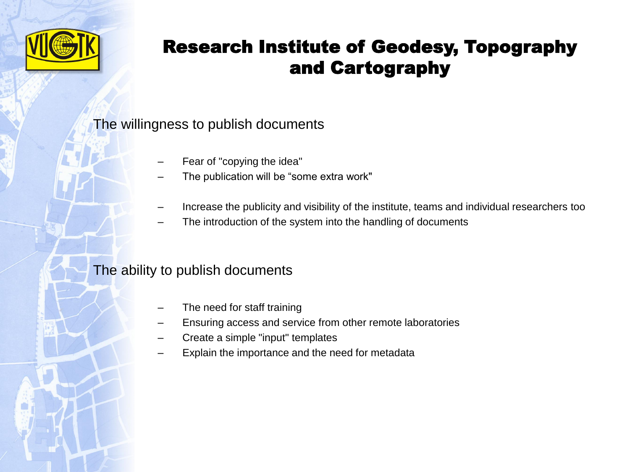

#### The willingness to publish documents

- Fear of "copying the idea"
- The publication will be "some extra work"
- Increase the publicity and visibility of the institute, teams and individual researchers too
- The introduction of the system into the handling of documents

#### The ability to publish documents

- The need for staff training
- Ensuring access and service from other remote laboratories
- Create a simple "input" templates
- Explain the importance and the need for metadata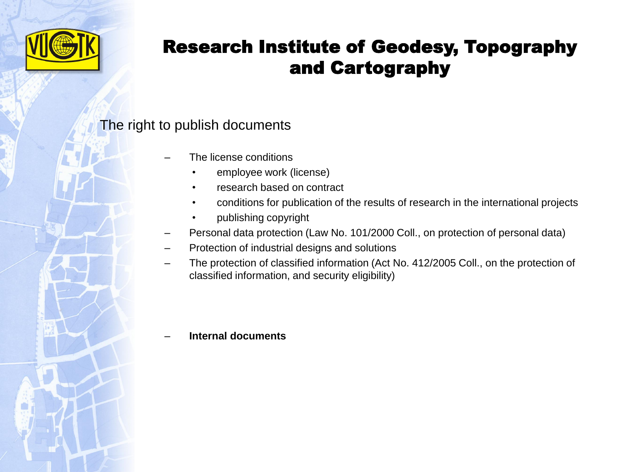

#### The right to publish documents

- The license conditions
	- employee work (license)
	- research based on contract
	- conditions for publication of the results of research in the international projects
	- publishing copyright
- Personal data protection (Law No. 101/2000 Coll., on protection of personal data)
- Protection of industrial designs and solutions
- The protection of classified information (Act No. 412/2005 Coll., on the protection of classified information, and security eligibility)

#### – **Internal documents**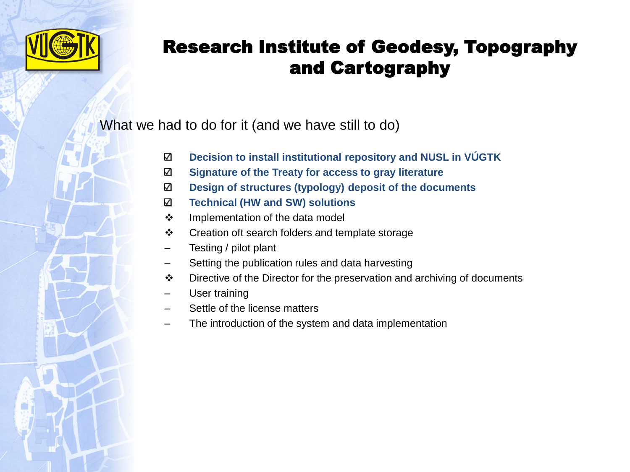

What we had to do for it (and we have still to do)

- **Decision to install institutional repository and NUSL in VÚGTK**  $\checkmark$
- **Signature of the Treaty for access to gray literature**  $\checkmark$
- **Design of structures (typology) deposit of the documents**  $\checkmark$
- **Technical (HW and SW) solutions**  $\checkmark$
- ❖ Implementation of the data model
- ❖ Creation oft search folders and template storage
- Testing / pilot plant
- Setting the publication rules and data harvesting
- Directive of the Director for the preservation and archiving of documents
- User training
- Settle of the license matters
- The introduction of the system and data implementation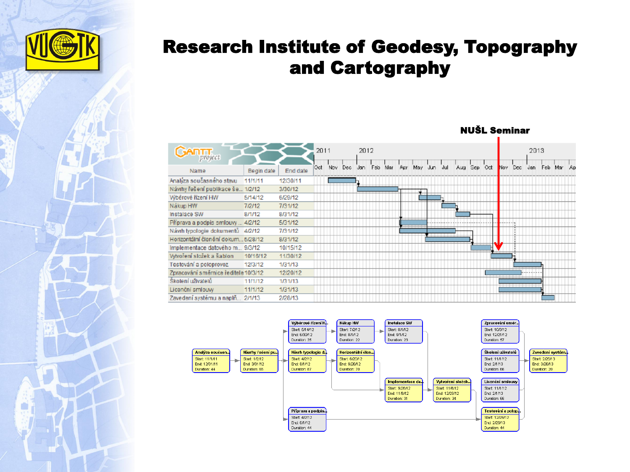

| <b>FILIAF</b>                        |            |          | 2011 |         | 2012 |     |     |     |         |     |             |      |     | 2013 |            |
|--------------------------------------|------------|----------|------|---------|------|-----|-----|-----|---------|-----|-------------|------|-----|------|------------|
| project                              |            |          |      |         |      |     |     |     |         |     |             |      |     |      |            |
| Name                                 | Begin date | End date | Oct. | Nov Dec | Jan  | Feb | Mar | Apr | May Jun | Jul | Aug Sep Oct | Nov. | Dec | Jan  | Feb Mar Ap |
| Analýza současného stavu             | 11/1/11    | 12/30/11 |      |         |      |     |     |     |         |     |             |      |     |      |            |
| Návrhy řešení publikace še 1/2/12    |            | 3/30/12  |      |         |      |     |     |     |         |     |             |      |     |      |            |
| Wběrové řízení HW                    | 5/14/12    | 6/29/12  |      |         |      |     |     |     |         |     |             |      |     |      |            |
| Nákup HW                             | 7/2/12     | 7/31/12  |      |         |      |     |     |     |         |     |             |      |     |      |            |
| Instalace SW                         | 8/1/12     | 8/31/12  |      |         |      |     |     |     |         |     |             |      |     |      |            |
| Příprava a podpis smlouvy  4/2/12    |            | 5/31/12  |      |         |      |     |     |     |         |     |             |      |     |      |            |
| Návrh typologie dokumentů 4/2/12     |            | 7/31/12  |      |         |      |     |     |     |         |     |             |      |     |      |            |
| Horizontální členění dokum 5/28/12   |            | 8/31/12  |      |         |      |     |     |     |         |     |             |      |     |      |            |
| Implementace datového m 9/3/12       |            | 10/15/12 |      |         |      |     |     |     |         |     |             |      |     |      |            |
| Vytvoření složek a šablon            | 10/16/12   | 11/30/12 |      |         |      |     |     |     |         |     |             |      |     |      |            |
| Testování a poloprovoz               | 12/3/12    | 1/31/13  |      |         |      |     |     |     |         |     |             |      |     |      |            |
| Zpracování směrnice ředitele 10/3/12 |            | 12/20/12 |      |         |      |     |     |     |         |     |             |      |     |      |            |
| Školení uživatelů                    | 11/1/12    | 1/31/13  |      |         |      |     |     |     |         |     |             |      |     |      |            |
| Licenční smlouvy                     | 11/1/12    | 1/31/13  |      |         |      |     |     |     |         |     |             |      |     |      |            |
| Zavedení systému a naplň 2/1/13      |            | 2/28/13  |      |         |      |     |     |     |         |     |             |      |     |      |            |
|                                      |            |          |      |         |      |     |     |     |         |     |             |      |     |      |            |



#### NUŠL Seminar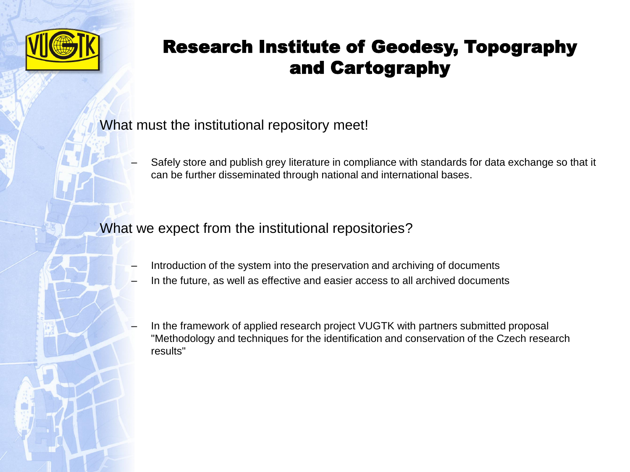

What must the institutional repository meet!

– Safely store and publish grey literature in compliance with standards for data exchange so that it can be further disseminated through national and international bases.

What we expect from the institutional repositories?

- Introduction of the system into the preservation and archiving of documents
- In the future, as well as effective and easier access to all archived documents
- In the framework of applied research project VUGTK with partners submitted proposal "Methodology and techniques for the identification and conservation of the Czech research results"